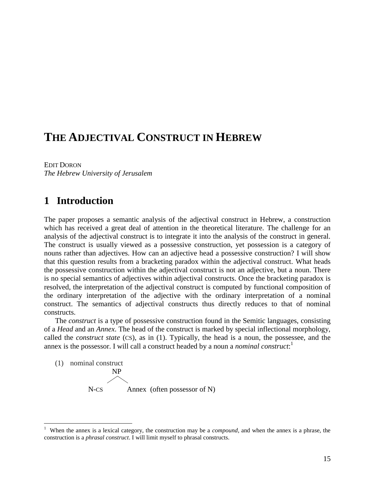# **THE ADJECTIVAL CONSTRUCT IN HEBREW**

EDIT DORON *The Hebrew University of Jerusalem*

## **1** Introduction

 $\overline{a}$ 

The paper proposes a semantic analysis of the adjectival construct in Hebrew, a construction which has received a great deal of attention in the theoretical literature. The challenge for an analysis of the adjectival construct is to integrate it into the analysis of the construct in general. The construct is usually viewed as a possessive construction, yet possession is a category of nouns rather than adjectives. How can an adjective head a possessive construction? I will show that this question results from a bracketing paradox within the adjectival construct. What heads the possessive construction within the adjectival construct is not an adjective, but a noun. There is no special semantics of adjectives within adjectival constructs. Once the bracketing paradox is resolved, the interpretation of the adjectival construct is computed by functional composition of the ordinary interpretation of the adjective with the ordinary interpretation of a nominal construct. The semantics of adjectival constructs thus directly reduces to that of nominal constructs.

The *construct* is a type of possessive construction found in the Semitic languages, consisting of a *Head* and an *Annex*. The head of the construct is marked by special inflectional morphology, called the *construct state* (CS), as in (1). Typically, the head is a noun, the possessee, and the annex is the possessor. I will call a construct headed by a noun a *nominal construct*: 1

(1) nominal construct NP  $N$ -CS Annex (often possessor of N)

<sup>&</sup>lt;sup>1</sup> When the annex is a lexical category, the construction may be a *compound*, and when the annex is a phrase, the construction is a *phrasal construct*. I will limit myself to phrasal constructs.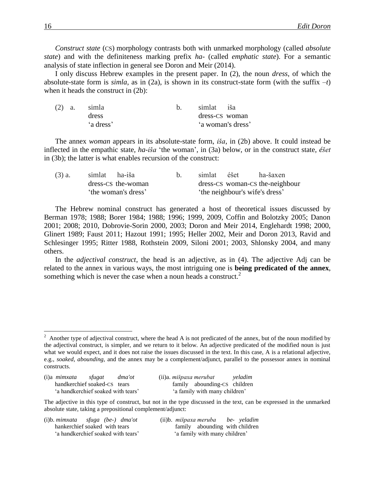*Construct state* (CS) morphology contrasts both with unmarked morphology (called *absolute state*) and with the definiteness marking prefix *ha-* (called *emphatic state*). For a semantic analysis of state inflection in general see Doron and Meir (2014).

I only discuss Hebrew examples in the present paper. In (2), the noun *dress*, of which the absolute-state form is *simla*, as in (2a), is shown in its construct-state form (with the suffix *–t*) when it heads the construct in (2b):

|  | $(2)$ a. simla | simlat iša        |  |
|--|----------------|-------------------|--|
|  | dress          | dress-CS woman    |  |
|  | 'a dress'      | 'a woman's dress' |  |

The annex *woman* appears in its absolute-state form, *iša*, in (2b) above. It could instead be inflected in the empathic state, *ha-iša* 'the woman', in (3a) below, or in the construct state, *éšet*  in (3b); the latter is what enables recursion of the construct:

| $(3)$ a.            | simlat ha-iša      |  | simlat | éšet | ha-šaxen                        |
|---------------------|--------------------|--|--------|------|---------------------------------|
|                     | dress-CS the-woman |  |        |      | dress-CS woman-CS the-neighbour |
| 'the woman's dress' |                    |  |        |      | 'the neighbour's wife's dress'  |

The Hebrew nominal construct has generated a host of theoretical issues discussed by Berman 1978; 1988; Borer 1984; 1988; 1996; 1999, 2009, Coffin and Bolotzky 2005; Danon 2001; 2008; 2010, Dobrovie-Sorin 2000, 2003; Doron and Meir 2014, Englehardt 1998; 2000, Glinert 1989; Faust 2011; Hazout 1991; 1995; Heller 2002, Meir and Doron 2013, Ravid and Schlesinger 1995; Ritter 1988, Rothstein 2009, Siloni 2001; 2003, Shlonsky 2004, and many others.

In the *adjectival construct*, the head is an adjective, as in (4). The adjective Adj can be related to the annex in various ways, the most intriguing one is **being predicated of the annex**, something which is never the case when a noun heads a construct.<sup>2</sup>

 $2$  Another type of adjectival construct, where the head A is not predicated of the annex, but of the noun modified by the adjectival construct, is simpler, and we return to it below. An adjective predicated of the modified noun is just what we would expect, and it does not raise the issues discussed in the text. In this case, A is a relational adjective, e.g., *soaked*, *abounding*, and the annex may be a complement/adjunct, parallel to the possessor annex in nominal constructs.

| $(i)$ a <i>mimxata</i>             | sfugat | dma'ot |  |  |  |
|------------------------------------|--------|--------|--|--|--|
| handkerchief soaked-CS tears       |        |        |  |  |  |
| 'a handkerchief soaked with tears' |        |        |  |  |  |

 $\overline{a}$ 

(i)a *mimxata sfugat dma'ot* (ii)a. *mišpaxa merubat yeladim* family abounding-CS children 'a family with many children'

The adjective in this type of construct, but not in the type discussed in the text, can be expressed in the unmarked absolute state, taking a prepositional complement/adjunct:

| $(i)$ b. mimxata sfuga (be-) dma'ot | (ii)b. mišpaxa meruba be-yeladim |
|-------------------------------------|----------------------------------|
| hankerchief soaked with tears       | family abounding with children   |
| 'a handkerchief soaked with tears'  | a family with many children'     |

family abounding with children 'a family with many children'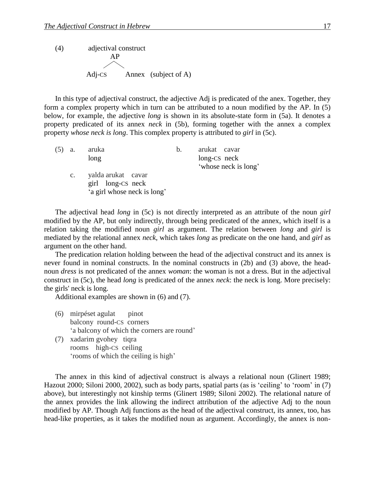(4) adjectival construct AP A dj-CS  $\diagup\diagdown$ Annex (subject of A)

In this type of adjectival construct, the adjective Adj is predicated of the anex. Together, they form a complex property which in turn can be attributed to a noun modified by the AP. In (5) below, for example, the adjective *long* is shown in its absolute-state form in (5a). It denotes a property predicated of its annex *neck* in (5b), forming together with the annex a complex property *whose neck is long*. This complex property is attributed to *girl* in (5c).

| (5) | a.              | aruka                                                                  | $b_{1}$ | arukat cavar         |
|-----|-----------------|------------------------------------------------------------------------|---------|----------------------|
|     |                 | long                                                                   |         | long-CS neck         |
|     |                 |                                                                        |         | 'whose neck is long' |
|     | $\mathcal{C}$ . | yalda arukat cavar<br>girl long-CS neck<br>'a girl whose neck is long' |         |                      |

The adjectival head *long* in (5c) is not directly interpreted as an attribute of the noun *girl* modified by the AP, but only indirectly, through being predicated of the annex, which itself is a relation taking the modified noun *girl* as argument. The relation between *long* and *girl* is mediated by the relational annex *neck*, which takes *long* as predicate on the one hand, and *girl* as argument on the other hand.

The predication relation holding between the head of the adjectival construct and its annex is never found in nominal constructs. In the nominal constructs in (2b) and (3) above, the headnoun *dress* is not predicated of the annex *woman*: the woman is not a dress. But in the adjectival construct in (5c), the head *long* is predicated of the annex *neck*: the neck is long. More precisely: the girls' neck is long.

Additional examples are shown in (6) and (7).

- (6) mirpéset agulat pinot balcony round-CS corners 'a balcony of which the corners are round'
- (7) xadarim gvohey tiqra rooms high-CS ceiling 'rooms of which the ceiling is high'

The annex in this kind of adjectival construct is always a relational noun (Glinert 1989; Hazout 2000; Siloni 2000, 2002), such as body parts, spatial parts (as is 'ceiling' to 'room' in (7) above), but interestingly not kinship terms (Glinert 1989; Siloni 2002). The relational nature of the annex provides the link allowing the indirect attribution of the adjective Adj to the noun modified by AP. Though Adj functions as the head of the adjectival construct, its annex, too, has head-like properties, as it takes the modified noun as argument. Accordingly, the annex is non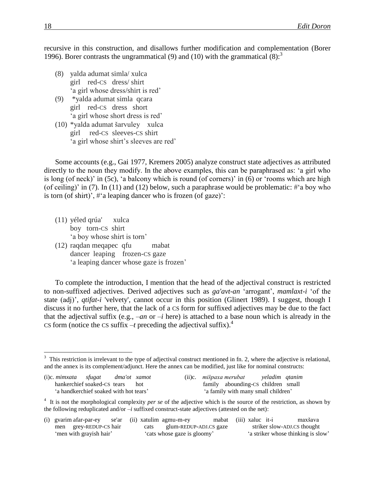recursive in this construction, and disallows further modification and complementation (Borer 1996). Borer contrasts the ungrammatical (9) and (10) with the grammatical  $(8)$ :

- (8) yalda adumat simla/ xulca girl red-CS dress/ shirt 'a girl whose dress/shirt is red'
- (9) \*yalda adumat simla qcara girl red-CS dress short 'a girl whose short dress is red'
- (10) \*yalda adumat šarvuley xulca girl red-CS sleeves-CS shirt 'a girl whose shirt's sleeves are red'

Some accounts (e.g., Gai 1977, Kremers 2005) analyze construct state adjectives as attributed directly to the noun they modify. In the above examples, this can be paraphrased as: 'a girl who is long (of neck)' in (5c), 'a balcony which is round (of corners)' in (6) or 'rooms which are high (of ceiling)' in (7). In (11) and (12) below, such a paraphrase would be problematic:  $\#$ 'a boy who is torn (of shirt)',  $\#^{\circ}$  a leaping dancer who is frozen (of gaze)':

- (11) yéled qrúa' xulca boy torn-CS shirt 'a boy whose shirt is torn'
- (12) raqdan meqapec qfu mabat dancer leaping frozen-CS gaze 'a leaping dancer whose gaze is frozen'

To complete the introduction, I mention that the head of the adjectival construct is restricted to non-suffixed adjectives. Derived adjectives such as *ga'avt-an* 'arrogant', *mamlaxt-i* 'of the state (adj)', *qtifat-i* 'velvety', cannot occur in this position (Glinert 1989). I suggest, though I discuss it no further here, that the lack of a CS form for suffixed adjectives may be due to the fact that the adjectival suffix (e.g.,  $-an$  or  $-i$  here) is attached to a base noun which is already in the CS form (notice the CS suffix  $-t$  preceding the adjectival suffix).<sup>4</sup>

 $3$  This restriction is irrelevant to the type of adjectival construct mentioned in fn. 2, where the adjective is relational, and the annex is its complement/adjunct. Here the annex can be modified, just like for nominal constructs:

| $(i)c.$ mimxata sfugat                | dma'ot xamot |  | (ii)c. mišpaxa merubat veladim qtanim |  |
|---------------------------------------|--------------|--|---------------------------------------|--|
| hankerchief soaked-CS tears hot       |              |  | family abounding-CS children small    |  |
| a handkerchief soaked with hot tears' |              |  | 'a family with many small children'   |  |

<sup>&</sup>lt;sup>4</sup> It is not the morphological complexity *per se* of the adjective which is the source of the restriction, as shown by the following reduplicated and/or *–i* suffixed construct-state adjectives (attested on the net):

|  | (i) gvarim afar-par-ey  |  | se'ar (ii) xatulim agmu-m-ey | mabat (iii) xalue it-i      |  | maxšava                            |
|--|-------------------------|--|------------------------------|-----------------------------|--|------------------------------------|
|  | men grey-REDUP-CS hair  |  |                              | cats glum-REDUP-ADJ.CS gaze |  | striker slow-ADJ.CS thought        |
|  | 'men with grayish hair' |  | 'cats whose gaze is gloomy'  |                             |  | 'a striker whose thinking is slow' |

 $\overline{a}$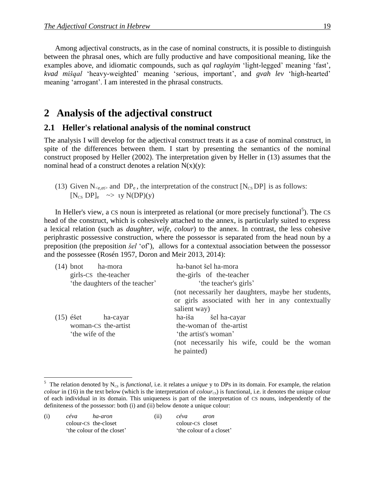Among adjectival constructs, as in the case of nominal constructs, it is possible to distinguish between the phrasal ones, which are fully productive and have compositional meaning, like the examples above, and idiomatic compounds, such as *qal raglayim* 'light-legged' meaning 'fast', *kvad mišqal* 'heavy-weighted' meaning 'serious, important', and *gvah lev* 'high-hearted' meaning 'arrogant'. I am interested in the phrasal constructs.

## 2 Analysis of the adjectival construct

#### **2.1 Heller's relational analysis of the nominal construct**

The analysis I will develop for the adjectival construct treats it as a case of nominal construct, in spite of the differences between them. I start by presenting the semantics of the nominal construct proposed by Heller (2002). The interpretation given by Heller in (13) assumes that the nominal head of a construct denotes a relation  $N(x)(y)$ :

(13) Given  $N_{\text{ce,et}}$  and  $DP_e$ , the interpretation of the construct  $[N_{\text{CS}}DP]$  is as follows:  $[N_{CS}DP]_e \rightarrow \nu N(DP)(v)$ 

In Heller's view, a CS noun is interpreted as relational (or more precisely functional<sup>5</sup>). The CS head of the construct, which is cohesively attached to the annex, is particularly suited to express a lexical relation (such as *daughter*, *wife*, *colour*) to the annex. In contrast, the less cohesive periphrastic possessive construction, where the possessor is separated from the head noun by a preposition (the preposition *šel* 'of'), allows for a contextual association between the possessor and the possessee (Rosén 1957, Doron and Meir 2013, 2014):

| (not necessarily her daughters, maybe her students, |
|-----------------------------------------------------|
| or girls associated with her in any contextually    |
|                                                     |
|                                                     |
|                                                     |
| (not necessarily his wife, could be the woman       |
|                                                     |

(i) *céva ha-aron* (ii) *céva aron* colour-CS the-closet colour-CS closet 'the colour of the closet' 'the colour of a closet'

 $\overline{a}$ 

<sup>&</sup>lt;sup>5</sup> The relation denoted by  $N_{cs}$  is *functional*, i.e. it relates a *unique* y to DPs in its domain. For example, the relation *colour* in (16) in the text below (which is the interpretation of *colour*<sub>cs</sub>) is functional, i.e. it denotes the unique colour of each individual in its domain. This uniqueness is part of the interpretation of CS nouns, independently of the definiteness of the possessor: both (i) and (ii) below denote a unique colour: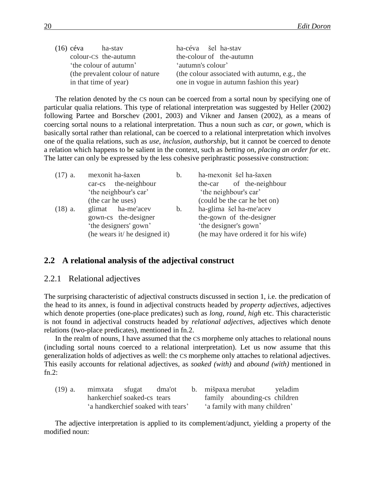| (16) céva             | ha-stav                          | ha-céva šel ha-stav |                                               |
|-----------------------|----------------------------------|---------------------|-----------------------------------------------|
|                       | colour-CS the-autumn             |                     | the-colour of the-autumn                      |
|                       | 'the colour of autumn'           | 'autumn's colour'   |                                               |
|                       | (the prevalent colour of nature) |                     | (the colour associated with autumn, e.g., the |
| in that time of year) |                                  |                     | one in vogue in autumn fashion this year)     |

The relation denoted by the CS noun can be coerced from a sortal noun by specifying one of particular qualia relations. This type of relational interpretation was suggested by Heller (2002) following Partee and Borschev (2001, 2003) and Vikner and Jansen (2002), as a means of coercing sortal nouns to a relational interpretation. Thus a noun such as *car*, or *gown*, which is basically sortal rather than relational, can be coerced to a relational interpretation which involves one of the qualia relations, such as *use*, *inclusion, authorship*, but it cannot be coerced to denote a relation which happens to be salient in the context, such as *betting on*, *placing an order for* etc. The latter can only be expressed by the less cohesive periphrastic possessive construction:

| $(17)$ a.         | mexonit ha-šaxen              | b.             | ha-mexonit šel ha-šaxen               |  |  |  |  |
|-------------------|-------------------------------|----------------|---------------------------------------|--|--|--|--|
|                   | car-cs the-neighbour          |                | the-car of the-neighbour              |  |  |  |  |
|                   | 'the neighbour's car'         |                | 'the neighbour's car'                 |  |  |  |  |
| (the car he uses) |                               |                | (could be the car he bet on)          |  |  |  |  |
| $(18)$ a.         | glimat ha-me'acev             | $\mathbf{b}$ . | ha-glima šel ha-me'acev               |  |  |  |  |
|                   | gown-cs the-designer          |                | the-gown of the-designer              |  |  |  |  |
|                   | 'the designers' gown'         |                | 'the designer's gown'                 |  |  |  |  |
|                   | (he wears it/ he designed it) |                | (he may have ordered it for his wife) |  |  |  |  |

#### **2.2**xx**A relational analysis of the adjectival construct**

#### $2.2.1$  Relational adjectives

The surprising characteristic of adjectival constructs discussed in section 1, i.e. the predication of the head to its annex, is found in adjectival constructs headed by *property adjectives*, adjectives which denote properties (one-place predicates) such as *long, round, high* etc. This characteristic is not found in adjectival constructs headed by *relational adjectives*, adjectives which denote relations (two-place predicates), mentioned in fn.2.

In the realm of nouns, I have assumed that the CS morpheme only attaches to relational nouns (including sortal nouns coerced to a relational interpretation). Let us now assume that this generalization holds of adjectives as well: the CS morpheme only attaches to relational adjectives. This easily accounts for relational adjectives, as *soaked (with)* and *abound (with)* mentioned in fn. $2$ :

| $(19)$ a. | mimxata sfugat                     | dma'ot |  | b. mišpaxa merubat            | yeladim |
|-----------|------------------------------------|--------|--|-------------------------------|---------|
|           | hankerchief soaked-cs tears        |        |  | family abounding-cs children  |         |
|           | 'a handkerchief soaked with tears' |        |  | 'a family with many children' |         |

The adjective interpretation is applied to its complement/adjunct, yielding a property of the modified noun: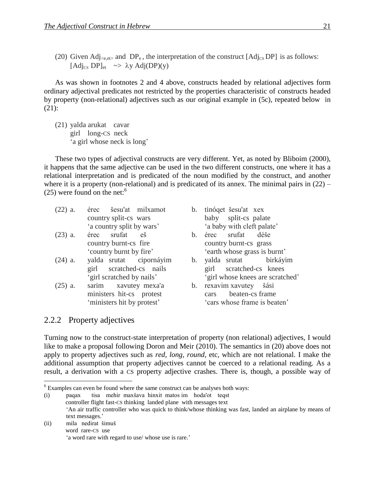(20) Given Adj<sub><e,et></sub> and DP<sub>e</sub>, the interpretation of the construct [Adj<sub>CS</sub> DP] is as follows: [Adj<sub>CS</sub> DP]<sub>et</sub>  $\sim$   $\lambda$ y Adj(DP)(y)

As was shown in footnotes 2 and 4 above, constructs headed by relational adjectives form ordinary adjectival predicates not restricted by the properties characteristic of constructs headed by property (non-relational) adjectives such as our original example in (5c), repeated below in (21):

(21) yalda arukat cavar girl long-CS neck 'a girl whose neck is long'

These two types of adjectival constructs are very different. Yet, as noted by Bliboim (2000), it happens that the same adjective can be used in the two different constructs, one where it has a relational interpretation and is predicated of the noun modified by the construct, and another where it is a property (non-relational) and is predicated of its annex. The minimal pairs in  $(22)$  –  $(25)$  were found on the net:<sup>6</sup>

- (22) a. érec šesu'at milxamot b. tinóqet šesu'at xex country split-cs wars baby split-cs palate 'a country split by wars' 'a baby with cleft palate'
- (23) a. érec srufat eš b. érec srufat déše
- (24) a. yalda srutat cipornáyim b. yalda srutat birkáyim
- (25) a. sarim xavutey mexa'a b. rexavim xavutey šási
- 
- country burnt-cs fire country burnt-cs grass 'country burnt by fire' 'earth whose grass is burnt'
- girl scratched-cs nails girl scratched-cs knees 'girl scratched by nails' 'girl whose knees are scratched'
- ministers hit-cs protest cars beaten-cs frame 'ministers hit by protest' 'cars whose frame is beaten'

#### 2.2.2 Property adjectives

 $\overline{a}$ 

Turning now to the construct-state interpretation of property (non relational) adjectives, I would like to make a proposal following Doron and Meir (2010). The semantics in (20) above does not apply to property adjectives such as *red, long, round*, etc, which are not relational. I make the additional assumption that property adjectives cannot be coerced to a relational reading. As a result, a derivation with a CS property adjective crashes. There is, though, a possible way of

(i) paqax tisa mehir maxšava hinxit matos im hoda'ot teqst controller flight fast-CS thinking landed plane with messages text 'An air traffic controller who was quick to think/whose thinking was fast, landed an airplane by means of text messages.'

(ii) mila nedirat šimuš word rare-CS use 'a word rare with regard to use/ whose use is rare.'

<sup>&</sup>lt;sup>6</sup> Examples can even be found where the same construct can be analyses both ways: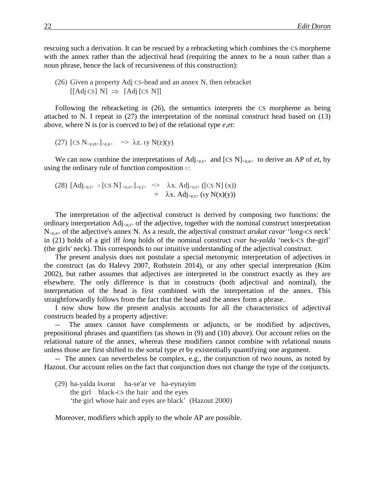rescuing such a derivation. It can be rescued by a rebracketing which combines the CS morpheme with the annex rather than the adjectival head (requiring the annex to be a noun rather than a noun phrase, hence the lack of recursiveness of this construction):

(26) Given a property Adj CS-head and an annex N, then rebracket  $\left[ \left[ \text{Adj } \text{CS} \right] \text{ N} \right] \Rightarrow \left[ \text{Adj } \left[ \text{CS } \text{N} \right] \right]$ 

Following the rebracketing in (26), the semantics interprets the CS morpheme as being attached to N. I repeat in (27) the interpretation of the nominal construct head based on (13) above, where N is (or is coerced to be) of the relational type *e,et*:

(27) 
$$
[\text{CS } N_{\text{ce},\text{et}}]_{\text{ce},\text{e}} \rightarrow \lambda z
$$
.  $iy N(z)(y)$ 

We can now combine the interpretations of  $\text{Adj}_{\leq e,t>}$  and  $[\text{CS N}]_{\leq e,e>}$  to derive an AP of *et*, by using the ordinary rule of function composition ○:

(28) 
$$
[Adj_{\leq e, t\geq} \circ [CS \ N]_{\leq e, e\geq}]_{\leq e, t\geq} \Rightarrow \lambda x. Adj_{\leq e, t\geq} ([CS \ N] (x)) = \lambda x. Adj_{\leq e, t\geq} (ty \ N(x)(y))
$$

The interpretation of the adjectival construct is derived by composing two functions: the ordinary interpretation  $\text{Adj}_{\text{set}}$  of the adjective, together with the nominal construct interpretation N<e,e> of the adjective's annex N. As a result, the adjectival construct *arukat cavar* 'long-CS neck' in (21) holds of a girl iff *long* holds of the nominal construct *cvar ha-yalda* 'neck-CS the-girl' (the girls' neck). This corresponds to our intuitive understanding of the adjectival construct.

The present analysis does not postulate a special metonymic interpretation of adjectives in the construct (as do Halevy 2007, Rothstein 2014), or any other special interpretation (Kim 2002), but rather assumes that adjectives are interpreted in the construct exactly as they are elsewhere. The only difference is that in constructs (both adjectival and nominal), the interpretation of the head is first combined with the interpretation of the annex. This straightforwardly follows from the fact that the head and the annex form a phrase.

I now show how the present analysis accounts for all the characteristics of adjectival constructs headed by a property adjective:

-- The annex cannot have complements or adjuncts, or be modified by adjectives, prepositional phrases and quantifiers (as shown in (9) and (10) above). Our account relies on the relational nature of the annex, whereas these modifiers cannot combine with relational nouns unless those are first shifted to the sortal type *et* by existentially quantifying one argument.

-- The annex can nevertheless be complex, e.g., the conjunction of two nouns, as noted by Hazout. Our account relies on the fact that conjunction does not change the type of the conjuncts.

(29) ha-yalda šxorat ha-se'ar ve ha-eynayim the girl black-CS the hair and the eyes 'the girl whose hair and eyes are black' (Hazout 2000)

Moreover, modifiers which apply to the whole AP are possible.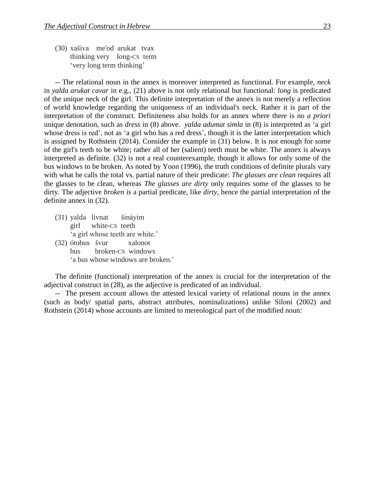(30) xašiva me'od arukat tvax thinking very long-CS term 'very long term thinking'

-- The relational noun in the annex is moreover interpreted as functional. For example, *neck* in *yalda arukat cavar* in e.g., (21) above is not only relational but functional: *long* is predicated of the unique neck of the girl. This definite interpretation of the annex is not merely a reflection of world knowledge regarding the uniqueness of an individual's neck. Rather it is part of the interpretation of the construct. Definiteness also holds for an annex where there is no *a priori* unique denotation, such as *dress* in (8) above. *yalda adumat simla* in (8) is interpreted as 'a girl whose dress is red', not as 'a girl who has a red dress', though it is the latter interpretation which is assigned by Rothstein (2014). Consider the example in (31) below. It is not enough for some of the girl's teeth to be white; rather all of her (salient) teeth must be white. The annex is always interpreted as definite. (32) is not a real counterexample, though it allows for only some of the bus windows to be broken. As noted by Yoon (1996), the truth conditions of definite plurals vary with what he calls the total vs. partial nature of their predicate: *The glasses are clean* requires all the glasses to be clean, whereas *The glasses are dirty* only requires some of the glasses to be dirty. The adjective *broken* is a partial predicate, like *dirty*, hence the partial interpretation of the definite annex in (32).

- (31) yalda livnat šináyim girl white-CS teeth 'a girl whose teeth are white.'
- (32) ótobus švur xalonot bus broken-CS windows 'a bus whose windows are broken.'

The definite (functional) interpretation of the annex is crucial for the interpretation of the adjectival construct in (28), as the adjective is predicated of an individual.

-- The present account allows the attested lexical variety of relational nouns in the annex (such as body/ spatial parts, abstract attributes, nominalizations) unlike Siloni (2002) and Rothstein (2014) whose accounts are limited to mereological part of the modified noun: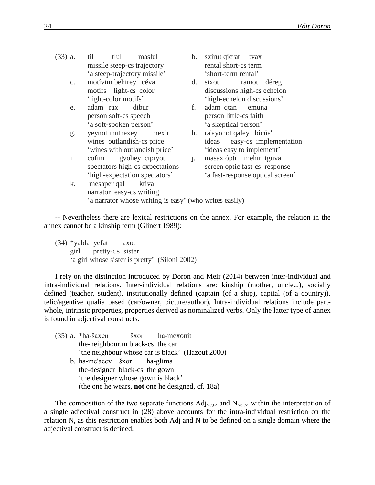- (33) a. til tlul maslul b. sxirut qicrat tvax missile steep-cs trajectory rental short-cs term 'a steep-trajectory missile' 'short-term rental'
	-
	- e. adam rax dibur f. adam qtan emuna 'a soft-spoken person' 'a skeptical person'
	- g. yeynot mufrexey mexir h. ra'ayonot qaley bicúa'
	- i. cofim gvohey cipiyot j. masax ópti mehir tguva
- 
- c. motívim behirey céva d. sixot ramot déreg motifs light-cs color discussions high-cs echelon 'light-color motifs' 'high-echelon discussions'
	- person soft-cs speech person little-cs faith
	- wines outlandish-cs price ideas easy-cs implementation 'wines with outlandish price' 'ideas easy to implement'
	- spectators high-cs expectations screen optic fast-cs response 'high-expectation spectators' 'a fast-response optical screen'
- k. mesaper qal ktiva narrator easy-cs writing 'a narrator whose writing is easy' (who writes easily)

-- Nevertheless there are lexical restrictions on the annex. For example, the relation in the annex cannot be a kinship term (Glinert 1989):

(34) \*yalda yefat axot girl pretty-CS sister 'a girl whose sister is pretty' (Siloni 2002)

I rely on the distinction introduced by Doron and Meir (2014) between inter-individual and intra-individual relations. Inter-individual relations are: kinship (mother, uncle...), socially defined (teacher, student), institutionally defined (captain (of a ship), capital (of a country)), telic/agentive qualia based (car/owner, picture/author). Intra-individual relations include partwhole, intrinsic properties, properties derived as nominalized verbs. Only the latter type of annex is found in adjectival constructs:

(35) a. \*ha-šaxen šxor ha-mexonit the-neighbour.m black-cs the car 'the neighbour whose car is black' (Hazout 2000) b. ha-me'acev šxor ha-glima the-designer black-cs the gown 'the designer whose gown is black' (the one he wears, **not** one he designed, cf. 18a)

The composition of the two separate functions  $Adj_{\leq e,t>}$  and  $N_{\leq e,e>}$  within the interpretation of a single adjectival construct in (28) above accounts for the intra-individual restriction on the relation N, as this restriction enables both Adj and N to be defined on a single domain where the adjectival construct is defined.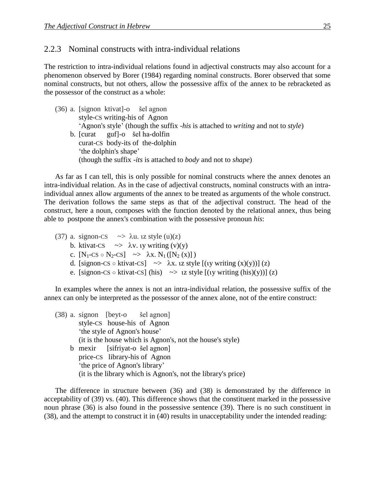#### 2.2.3 Nominal constructs with intra-individual relations

The restriction to intra-individual relations found in adjectival constructs may also account for a phenomenon observed by Borer (1984) regarding nominal constructs. Borer observed that some nominal constructs, but not others, allow the possessive affix of the annex to be rebracketed as the possessor of the construct as a whole:

(36) a. [signon ktivat]-o šel agnon style-CS writing-his of Agnon 'Agnon's style' (though the suffix *-his* is attached to *writing* and not to *style*) b. [curat guf]-o šel ha-dolfin curat-CS body-its of the-dolphin 'the dolphin's shape' (though the suffix *-its* is attached to *body* and not to *shape*)

As far as I can tell, this is only possible for nominal constructs where the annex denotes an intra-individual relation. As in the case of adjectival constructs, nominal constructs with an intraindividual annex allow arguments of the annex to be treated as arguments of the whole construct. The derivation follows the same steps as that of the adjectival construct. The head of the construct, here a noun, composes with the function denoted by the relational annex, thus being able to postpone the annex's combination with the possessive pronoun *his*:

(37) a. signon-CS  $\rightarrow \lambda u$ . iz style (u)(z) b. ktivat-CS  $\sim$   $\lambda$ v. ty writing (v)(y) c.  $[N_1$ -CS  $\circ$  N<sub>2</sub>-CS]  $\rightarrow \lambda x. N_1([N_2(x)])$ d. [signon-CS  $\circ$  ktivat-CS]  $\rightarrow \lambda x$ . tz style [(ty writing  $(x)(y)$ ] (z) e. [signon-CS  $\circ$  ktivat-CS] (his)  $\rightarrow$  1z style  $[(y \text{ writing (his)}(y))]$  (z)

In examples where the annex is not an intra-individual relation, the possessive suffix of the annex can only be interpreted as the possessor of the annex alone, not of the entire construct:

(38) a. signon [beyt-o šel agnon] style-CS house-his of Agnon 'the style of Agnon's house' (it is the house which is Agnon's, not the house's style) b mexir [sifriyat-o šel agnon] price-CS library-his of Agnon 'the price of Agnon's library' (it is the library which is Agnon's, not the library's price)

The difference in structure between (36) and (38) is demonstrated by the difference in acceptability of (39) vs. (40). This difference shows that the constituent marked in the possessive noun phrase (36) is also found in the possessive sentence (39). There is no such constituent in (38), and the attempt to construct it in (40) results in unacceptability under the intended reading: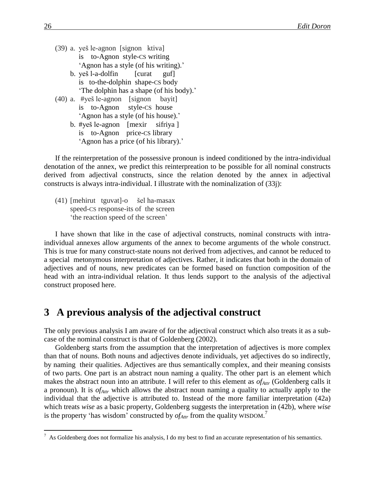- (39) a. yeš le-agnon [signon ktiva] is to-Agnon style-CS writing 'Agnon has a style (of his writing).' b. yeš l-a-dolfin [curat guf]
	- is to-the-dolphin shape-CS body 'The dolphin has a shape (of his body).'
- (40) a. #yeš le-agnon [signon bayit] is to-Agnon style-CS house 'Agnon has a style (of his house).'
	- b. #yeš le-agnon [mexir sifriya ] is to-Agnon price-CS library 'Agnon has a price (of his library).'

If the reinterpretation of the possessive pronoun is indeed conditioned by the intra-individual denotation of the annex, we predict this reinterpreation to be possible for all nominal constructs derived from adjectival constructs, since the relation denoted by the annex in adjectival constructs is always intra-individual. I illustrate with the nominalization of (33j):

(41) [mehirut tguvat]-o šel ha-masax speed-CS response-its of the screen 'the reaction speed of the screen'

I have shown that like in the case of adjectival constructs, nominal constructs with intraindividual annexes allow arguments of the annex to become arguments of the whole construct. This is true for many construct-state nouns not derived from adjectives, and cannot be reduced to a special metonymous interpretation of adjectives. Rather, it indicates that both in the domain of adjectives and of nouns, new predicates can be formed based on function composition of the head with an intra-individual relation. It thus lends support to the analysis of the adjectival construct proposed here.

### **3** A previous analysis of the adjectival construct

The only previous analysis I am aware of for the adjectival construct which also treats it as a subcase of the nominal construct is that of Goldenberg (2002).

Goldenberg starts from the assumption that the interpretation of adjectives is more complex than that of nouns. Both nouns and adjectives denote individuals, yet adjectives do so indirectly, by naming their qualities. Adjectives are thus semantically complex, and their meaning consists of two parts. One part is an abstract noun naming a quality. The other part is an element which makes the abstract noun into an attribute. I will refer to this element as *ofAttr* (Goldenberg calls it a pronoun). It is *ofAttr* which allows the abstract noun naming a quality to actually apply to the individual that the adjective is attributed to. Instead of the more familiar interpretation (42a) which treats *wise* as a basic property, Goldenberg suggests the interpretation in (42b), where *wise* is the property 'has wisdom' constructed by *ofAttr* from the quality WISDOM. 7

 $\overline{a}$ 

 $^7$  As Goldenberg does not formalize his analysis, I do my best to find an accurate representation of his semantics.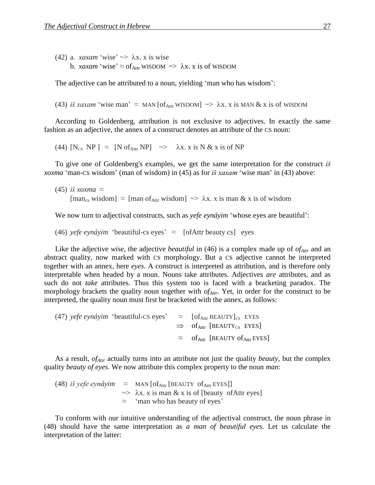(42) a. *xaxam* 'wise'  $\gg \lambda x$ . *x* is wise b. *xaxam* 'wise'  $\approx$  of<sub>Attr</sub> WISDOM  $\sim$   $\lambda$ x. x is of WISDOM

The adjective can be attributed to a noun, yielding 'man who has wisdom':

(43) *iš xaxam* 'wise man'  $\approx$  MAN [of<sub>Attr</sub> WISDOM]  $\sim$   $\lambda$ x. x is MAN & x is of WISDOM

According to Goldenberg, attribution is not exclusive to adjectives. In exactly the same fashion as an adjective, the annex of a construct denotes an attribute of the CS noun:

(44)  $[N_{CS} NP] \approx [N \text{ of}_{Attr} NP] \rightarrow \lambda x. x \text{ is } N \& x \text{ is of NP}$ 

To give one of Goldenberg's examples, we get the same interpretation for the construct *iš xoxma* 'man-CS wisdom' (man of wisdom) in (45) as for *iš xaxam* 'wise man' in (43) above:

```
(45) iš xoxma ≈
[\text{man}_{\text{cs}} \text{ wisdom}] \approx [\text{man of}_{\text{Attr}} \text{ wisdom}] \rightarrow \lambda x. \text{ x is man & x is of wisdom}]
```
We now turn to adjectival constructs, such as *yefe eynáyim* 'whose eyes are beautiful':

(46) *yefe eynáyim* 'beautiful-cs eyes'  $\approx$  [ofAttr beauty cs] eyes

Like the adjective *wise*, the adjective *beautiful* in (46) is a complex made up of *ofAttr* and an abstract quality, now marked with CS morphology. But a CS adjective cannot be interpreted together with an annex, here *eyes*. A construct is interpreted as attribution, and is therefore only interpretable when headed by a noun. Nouns take attributes. Adjectives *are* attributes, and as such do not *take* attributes. Thus this system too is faced with a bracketing paradox. The morphology brackets the quality noun together with *ofAttr*. Yet, in order for the construct to be interpreted, the quality noun must first be bracketed with the annex, as follows:

(47) *yefe eynáyim* 'beautiful-CS eyes'  $\approx$  [of<sub>Attr</sub> BEAUTY]<sub>CS</sub> EYES  $\Rightarrow$  of<sub>Attr</sub> [BEAUTY<sub>CS</sub> EYES]  $\approx$  of  $_{\text{Attr}}$  [BEAUTY of  $_{\text{Attr}}$  EYES]

As a result, *ofAttr* actually turns into an attribute not just the quality *beauty,* but the complex quality *beauty of eyes*. We now attribute this complex property to the noun *man*:

(48) *iš yefe eynáyim*  $\approx$  MAN [of<sub>Attr</sub> [BEAUTY of<sub>Attr</sub> EYES]]  $\rightarrow \lambda x$ . x is man & x is of [beauty of Attr eyes] ≈ 'man who has beauty of eyes'

To conform with our intuitive understanding of the adjectival construct, the noun phrase in (48) should have the same interpretation as *a man of beautiful eyes.* Let us calculate the interpretation of the latter: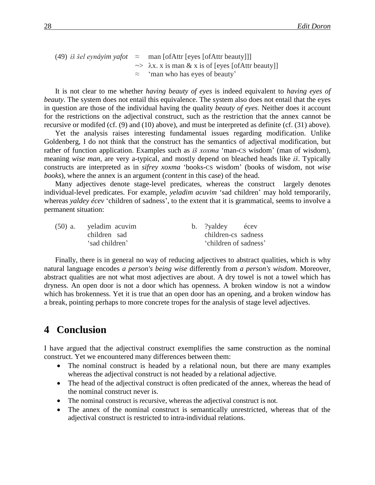(49) *iš šel eynáyim yafot* ≈ man [ofAttr [eyes [ofAttr beauty]]]  $\gg \lambda x$ . x is man & x is of [eyes [ofAttr beauty]] ≈ 'man who has eyes of beauty'

It is not clear to me whether *having beauty of eyes* is indeed equivalent to *having eyes of beauty*. The system does not entail this equivalence. The system also does not entail that the eyes in question are those of the individual having the quality *beauty of eyes*. Neither does it account for the restrictions on the adjectival construct, such as the restriction that the annex cannot be recursive or modifed (cf. (9) and (10) above), and must be interpreted as definite (cf. (31) above).

Yet the analysis raises interesting fundamental issues regarding modification. Unlike Goldenberg, I do not think that the construct has the semantics of adjectival modification, but rather of function application. Examples such as *iš xoxma* 'man-CS wisdom' (man of wisdom), meaning *wise man,* are very a-typical, and mostly depend on bleached heads like *iš*. Typically constructs are interpreted as in *sifrey xoxma* 'books-CS wisdom' (books of wisdom, not *wise books*), where the annex is an argument (*content* in this case) of the head.

Many adjectives denote stage-level predicates, whereas the construct largely denotes individual-level predicates. For example, *yeladim acuvim* 'sad children' may hold temporarily, whereas *yaldey écev* 'children of sadness', to the extent that it is grammatical, seems to involve a permanent situation:

| $(50)$ a. yeladim acuvim | b. ?yaldey écev       |  |
|--------------------------|-----------------------|--|
| children sad             | children-cs sadness   |  |
| 'sad children'           | 'children of sadness' |  |

Finally, there is in general no way of reducing adjectives to abstract qualities, which is why natural language encodes *a person's being wise* differently from *a person's wisdom*. Moreover, abstract qualities are not what most adjectives are about. A dry towel is not a towel which has dryness. An open door is not a door which has openness. A broken window is not a window which has brokenness. Yet it is true that an open door has an opening, and a broken window has a break, pointing perhaps to more concrete tropes for the analysis of stage level adjectives.

### 4 **Conclusion**

I have argued that the adjectival construct exemplifies the same construction as the nominal construct. Yet we encountered many differences between them:

- The nominal construct is headed by a relational noun, but there are many examples whereas the adjectival construct is not headed by a relational adjective.
- The head of the adjectival construct is often predicated of the annex, whereas the head of the nominal construct never is.
- The nominal construct is recursive, whereas the adjectival construct is not.
- The annex of the nominal construct is semantically unrestricted, whereas that of the adjectival construct is restricted to intra-individual relations.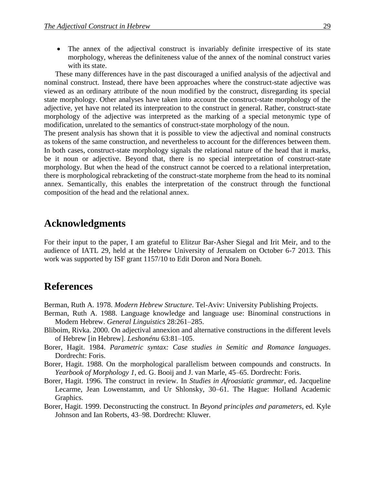• The annex of the adjectival construct is invariably definite irrespective of its state morphology, whereas the definiteness value of the annex of the nominal construct varies with its state.

These many differences have in the past discouraged a unified analysis of the adjectival and nominal construct. Instead, there have been approaches where the construct-state adjective was viewed as an ordinary attribute of the noun modified by the construct, disregarding its special state morphology. Other analyses have taken into account the construct-state morphology of the adjective, yet have not related its interpreation to the construct in general. Rather, construct-state morphology of the adjective was interpreted as the marking of a special metonymic type of modification, unrelated to the semantics of construct-state morphology of the noun.

The present analysis has shown that it is possible to view the adjectival and nominal constructs as tokens of the same construction, and nevertheless to account for the differences between them. In both cases, construct-state morphology signals the relational nature of the head that it marks, be it noun or adjective. Beyond that, there is no special interpretation of construct-state morphology. But when the head of the construct cannot be coerced to a relational interpretation, there is morphological rebracketing of the construct-state morpheme from the head to its nominal annex. Semantically, this enables the interpretation of the construct through the functional composition of the head and the relational annex.

### **Acknowledgments**

For their input to the paper, I am grateful to Elitzur Bar-Asher Siegal and Irit Meir, and to the audience of IATL 29, held at the Hebrew University of Jerusalem on October 6-7 2013. This work was supported by ISF grant 1157/10 to Edit Doron and Nora Boneh.

## **References**

Berman, Ruth A. 1978. *Modern Hebrew Structure*. Tel-Aviv: University Publishing Projects.

- Berman, Ruth A. 1988. Language knowledge and language use: Binominal constructions in Modern Hebrew. *General Linguistics* 28:261–285.
- Bliboim, Rivka. 2000. On adjectival annexion and alternative constructions in the different levels of Hebrew [in Hebrew]. *Leshonénu* 63:81–105.
- Borer, Hagit. 1984. *Parametric syntax: Case studies in Semitic and Romance languages*. Dordrecht: Foris.
- Borer, Hagit. 1988. On the morphological parallelism between compounds and constructs. In *Yearbook of Morphology 1*, ed. G. Booij and J. van Marle, 45–65. Dordrecht: Foris.
- Borer, Hagit. 1996. The construct in review. In *Studies in Afroasiatic grammar*, ed. Jacqueline Lecarme, Jean Lowenstamm, and Ur Shlonsky, 30–61. The Hague: Holland Academic Graphics.
- Borer, Hagit. 1999. Deconstructing the construct. In *Beyond principles and parameters*, ed. Kyle Johnson and Ian Roberts, 43–98. Dordrecht: Kluwer.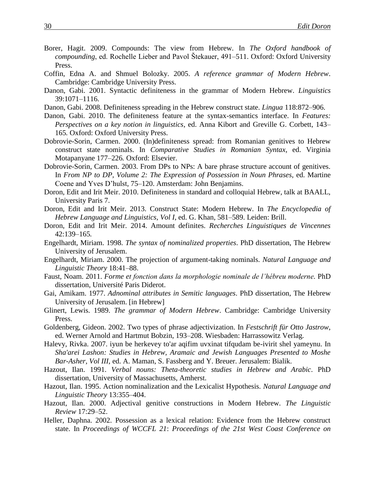- Borer, Hagit. 2009. Compounds: The view from Hebrew. In *The Oxford handbook of compounding*, ed. Rochelle Lieber and Pavol Štekauer, 491–511. Oxford: Oxford University Press.
- Coffin, Edna A. and Shmuel Bolozky. 2005. *A reference grammar of Modern Hebrew*. Cambridge: Cambridge University Press.
- Danon, Gabi. 2001. Syntactic definiteness in the grammar of Modern Hebrew. *Linguistics* 39:1071–1116.
- Danon, Gabi. 2008. Definiteness spreading in the Hebrew construct state. *Lingua* 118:872–906.
- Danon, Gabi. 2010. The definiteness feature at the syntax-semantics interface. In *Features: Perspectives on a key notion in linguistics*, ed. Anna Kibort and Greville G. Corbett, 143– 165*.* Oxford: Oxford University Press.
- Dobrovie-Sorin, Carmen. 2000. (In)definiteness spread: from Romanian genitives to Hebrew construct state nominals. In *Comparative Studies in Romanian Syntax*, ed. Virginia Motapanyane 177–226*.* Oxford: Elsevier.
- Dobrovie-Sorin, Carmen. 2003. From DPs to NPs: A bare phrase structure account of genitives. In *From NP to DP, Volume 2: The Expression of Possession in Noun Phrases*, ed. Martine Coene and Yves D'hulst, 75–120. Amsterdam: John Benjamins.
- Doron, Edit and Irit Meir. 2010. Definiteness in standard and colloquial Hebrew, talk at BAALL, University Paris 7.
- Doron, Edit and Irit Meir. 2013. Construct State: Modern Hebrew. In *The Encyclopedia of Hebrew Language and Linguistics, Vol I*, ed. G. Khan, 581–589. Leiden: Brill.
- Doron, Edit and Irit Meir. 2014. Amount definites. *Recherches Linguistiques de Vincennes* 42:139–165*.*
- Engelhardt, Miriam. 1998. *The syntax of nominalized properties*. PhD dissertation, The Hebrew University of Jerusalem.
- Engelhardt, Miriam. 2000. The projection of argument-taking nominals. *Natural Language and Linguistic Theory* 18:41–88.
- Faust, Noam. 2011. *Forme et fonction dans la morphologie nominale de l'hébreu moderne.* PhD dissertation, Université Paris Diderot.
- Gai, Amikam. 1977. *Adnominal attributes in Semitic languages*. PhD dissertation, The Hebrew University of Jerusalem. [in Hebrew]
- Glinert, Lewis. 1989. *The grammar of Modern Hebrew*. Cambridge: Cambridge University Press.
- Goldenberg, Gideon. 2002. Two types of phrase adjectivization. In *Festschrift für Otto Jastrow*, ed. Werner Arnold and Hartmut Bobzin, 193–208. Wiesbaden: Harrassowitz Verlag.
- Halevy, Rivka. 2007. iyun be herkevey to'ar aqifim uvxinat tifqudam be-ivirit shel yameynu. In *Sha'arei Lashon: Studies in Hebrew, Aramaic and Jewish Languages Presented to Moshe Bar-Asher, Vol III*, ed. A. Maman, S. Fassberg and Y. Breuer. Jerusalem: Bialik.
- Hazout, Ilan. 1991. *Verbal nouns: Theta-theoretic studies in Hebrew and Arabic*. PhD dissertation, University of Massachusetts, Amherst.
- Hazout, Ilan. 1995. Action nominalization and the Lexicalist Hypothesis. *Natural Language and Linguistic Theory* 13:355–404.
- Hazout, Ilan. 2000. Adjectival genitive constructions in Modern Hebrew. *The Linguistic Review* 17:29–52.
- Heller, Daphna. 2002. Possession as a lexical relation: Evidence from the Hebrew construct state. In *Proceedings of WCCFL 21*: *Proceedings of the 21st West Coast Conference on*